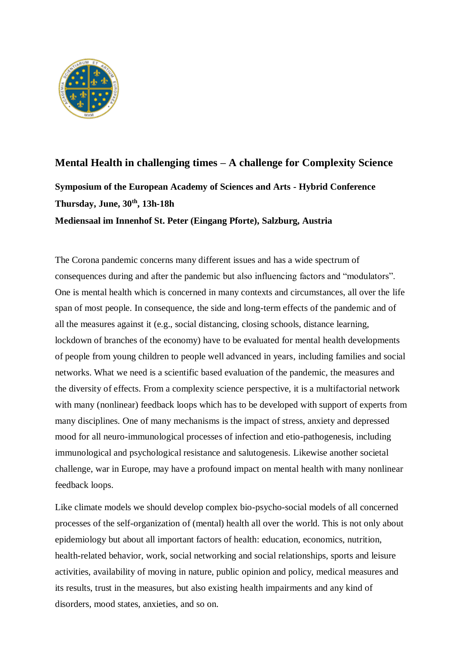

# **Mental Health in challenging times – A challenge for Complexity Science Symposium of the European Academy of Sciences and Arts - Hybrid Conference Thursday, June, 30th, 13h-18h Mediensaal im Innenhof St. Peter (Eingang Pforte), Salzburg, Austria**

The Corona pandemic concerns many different issues and has a wide spectrum of consequences during and after the pandemic but also influencing factors and "modulators". One is mental health which is concerned in many contexts and circumstances, all over the life span of most people. In consequence, the side and long-term effects of the pandemic and of all the measures against it (e.g., social distancing, closing schools, distance learning, lockdown of branches of the economy) have to be evaluated for mental health developments of people from young children to people well advanced in years, including families and social networks. What we need is a scientific based evaluation of the pandemic, the measures and the diversity of effects. From a complexity science perspective, it is a multifactorial network with many (nonlinear) feedback loops which has to be developed with support of experts from many disciplines. One of many mechanisms is the impact of stress, anxiety and depressed mood for all neuro-immunological processes of infection and etio-pathogenesis, including immunological and psychological resistance and salutogenesis. Likewise another societal challenge, war in Europe, may have a profound impact on mental health with many nonlinear feedback loops.

Like climate models we should develop complex bio-psycho-social models of all concerned processes of the self-organization of (mental) health all over the world. This is not only about epidemiology but about all important factors of health: education, economics, nutrition, health-related behavior, work, social networking and social relationships, sports and leisure activities, availability of moving in nature, public opinion and policy, medical measures and its results, trust in the measures, but also existing health impairments and any kind of disorders, mood states, anxieties, and so on.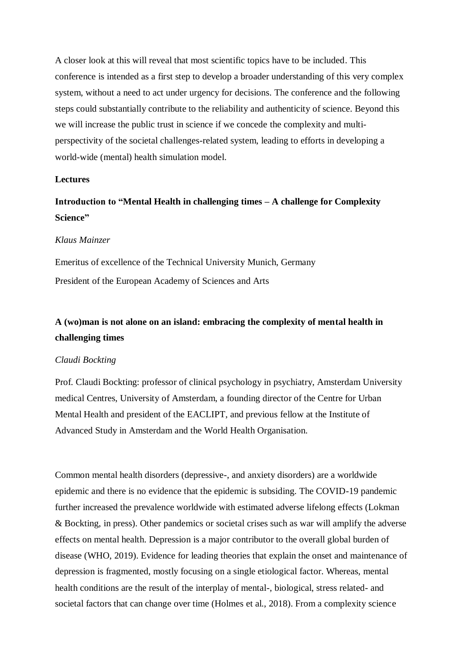A closer look at this will reveal that most scientific topics have to be included. This conference is intended as a first step to develop a broader understanding of this very complex system, without a need to act under urgency for decisions. The conference and the following steps could substantially contribute to the reliability and authenticity of science. Beyond this we will increase the public trust in science if we concede the complexity and multiperspectivity of the societal challenges-related system, leading to efforts in developing a world-wide (mental) health simulation model.

### **Lectures**

## **Introduction to "Mental Health in challenging times – A challenge for Complexity Science"**

### *Klaus Mainzer*

Emeritus of excellence of the Technical University Munich, Germany President of the European Academy of Sciences and Arts

### **A (wo)man is not alone on an island: embracing the complexity of mental health in challenging times**

### *Claudi Bockting*

Prof. Claudi Bockting: professor of clinical psychology in psychiatry, Amsterdam University medical Centres, University of Amsterdam, a founding director of the Centre for Urban Mental Health and president of the EACLIPT, and previous fellow at the Institute of Advanced Study in Amsterdam and the World Health Organisation.

Common mental health disorders (depressive-, and anxiety disorders) are a worldwide epidemic and there is no evidence that the epidemic is subsiding. The COVID-19 pandemic further increased the prevalence worldwide with estimated adverse lifelong effects (Lokman & Bockting, in press). Other pandemics or societal crises such as war will amplify the adverse effects on mental health. Depression is a major contributor to the overall global burden of disease (WHO, 2019). Evidence for leading theories that explain the onset and maintenance of depression is fragmented, mostly focusing on a single etiological factor. Whereas, mental health conditions are the result of the interplay of mental-, biological, stress related- and societal factors that can change over time (Holmes et al., 2018). From a complexity science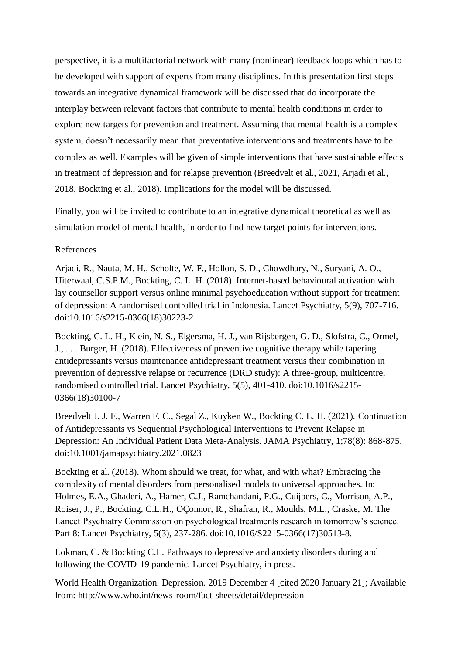perspective, it is a multifactorial network with many (nonlinear) feedback loops which has to be developed with support of experts from many disciplines. In this presentation first steps towards an integrative dynamical framework will be discussed that do incorporate the interplay between relevant factors that contribute to mental health conditions in order to explore new targets for prevention and treatment. Assuming that mental health is a complex system, doesn't necessarily mean that preventative interventions and treatments have to be complex as well. Examples will be given of simple interventions that have sustainable effects in treatment of depression and for relapse prevention (Breedvelt et al., 2021, Arjadi et al., 2018, Bockting et al., 2018). Implications for the model will be discussed.

Finally, you will be invited to contribute to an integrative dynamical theoretical as well as simulation model of mental health, in order to find new target points for interventions.

### References

Arjadi, R., Nauta, M. H., Scholte, W. F., Hollon, S. D., Chowdhary, N., Suryani, A. O., Uiterwaal, C.S.P.M., Bockting, C. L. H. (2018). Internet-based behavioural activation with lay counsellor support versus online minimal psychoeducation without support for treatment of depression: A randomised controlled trial in Indonesia. Lancet Psychiatry, 5(9), 707-716. doi:10.1016/s2215-0366(18)30223-2

Bockting, C. L. H., Klein, N. S., Elgersma, H. J., van Rijsbergen, G. D., Slofstra, C., Ormel, J., . . . Burger, H. (2018). Effectiveness of preventive cognitive therapy while tapering antidepressants versus maintenance antidepressant treatment versus their combination in prevention of depressive relapse or recurrence (DRD study): A three-group, multicentre, randomised controlled trial. Lancet Psychiatry, 5(5), 401-410. doi:10.1016/s2215- 0366(18)30100-7

Breedvelt J. J. F., Warren F. C., Segal Z., Kuyken W., Bockting C. L. H. (2021). Continuation of Antidepressants vs Sequential Psychological Interventions to Prevent Relapse in Depression: An Individual Patient Data Meta-Analysis. JAMA Psychiatry, 1;78(8): 868-875. doi:10.1001/jamapsychiatry.2021.0823

Bockting et al. (2018). Whom should we treat, for what, and with what? Embracing the complexity of mental disorders from personalised models to universal approaches. In: Holmes, E.A., Ghaderi, A., Hamer, C.J., Ramchandani, P.G., Cuijpers, C., Morrison, A.P., Roiser, J., P., Bockting, C.L.H., OÇonnor, R., Shafran, R., Moulds, M.L., Craske, M. The Lancet Psychiatry Commission on psychological treatments research in tomorrow's science. Part 8: Lancet Psychiatry, 5(3), 237-286. doi:10.1016/S2215-0366(17)30513-8.

Lokman, C. & Bockting C.L. Pathways to depressive and anxiety disorders during and following the COVID-19 pandemic. Lancet Psychiatry, in press.

World Health Organization. Depression. 2019 December 4 [cited 2020 January 21]; Available from: http://www.who.int/news-room/fact-sheets/detail/depression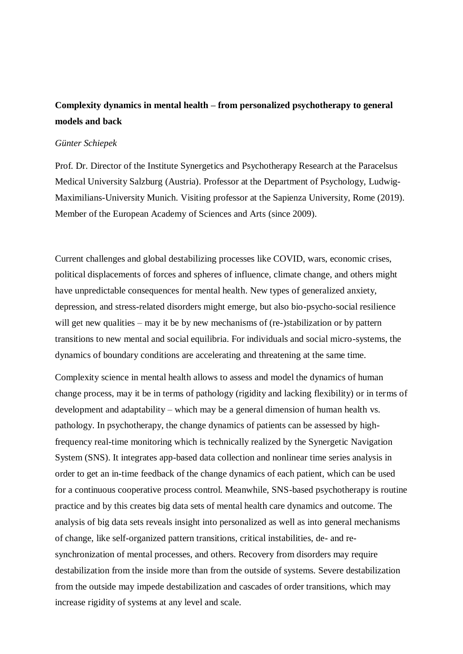## **Complexity dynamics in mental health – from personalized psychotherapy to general models and back**

### *Günter Schiepek*

Prof. Dr. Director of the Institute Synergetics and Psychotherapy Research at the Paracelsus Medical University Salzburg (Austria). Professor at the Department of Psychology, Ludwig-Maximilians-University Munich. Visiting professor at the Sapienza University, Rome (2019). Member of the European Academy of Sciences and Arts (since 2009).

Current challenges and global destabilizing processes like COVID, wars, economic crises, political displacements of forces and spheres of influence, climate change, and others might have unpredictable consequences for mental health. New types of generalized anxiety, depression, and stress-related disorders might emerge, but also bio-psycho-social resilience will get new qualities – may it be by new mechanisms of (re-)stabilization or by pattern transitions to new mental and social equilibria. For individuals and social micro-systems, the dynamics of boundary conditions are accelerating and threatening at the same time.

Complexity science in mental health allows to assess and model the dynamics of human change process, may it be in terms of pathology (rigidity and lacking flexibility) or in terms of development and adaptability – which may be a general dimension of human health vs. pathology. In psychotherapy, the change dynamics of patients can be assessed by highfrequency real-time monitoring which is technically realized by the Synergetic Navigation System (SNS). It integrates app-based data collection and nonlinear time series analysis in order to get an in-time feedback of the change dynamics of each patient, which can be used for a continuous cooperative process control. Meanwhile, SNS-based psychotherapy is routine practice and by this creates big data sets of mental health care dynamics and outcome. The analysis of big data sets reveals insight into personalized as well as into general mechanisms of change, like self-organized pattern transitions, critical instabilities, de- and resynchronization of mental processes, and others. Recovery from disorders may require destabilization from the inside more than from the outside of systems. Severe destabilization from the outside may impede destabilization and cascades of order transitions, which may increase rigidity of systems at any level and scale.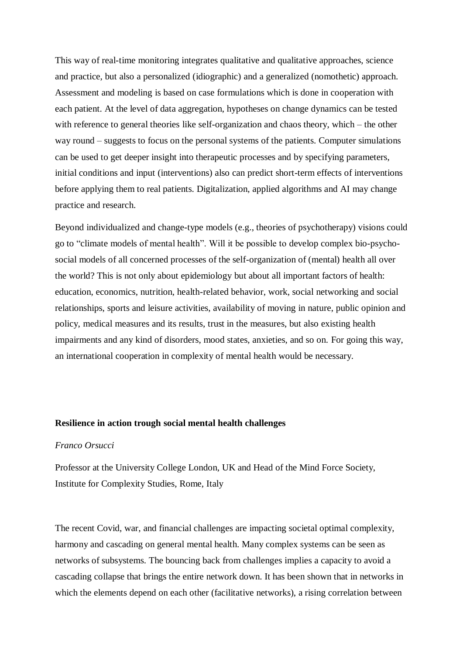This way of real-time monitoring integrates qualitative and qualitative approaches, science and practice, but also a personalized (idiographic) and a generalized (nomothetic) approach. Assessment and modeling is based on case formulations which is done in cooperation with each patient. At the level of data aggregation, hypotheses on change dynamics can be tested with reference to general theories like self-organization and chaos theory, which – the other way round – suggests to focus on the personal systems of the patients. Computer simulations can be used to get deeper insight into therapeutic processes and by specifying parameters, initial conditions and input (interventions) also can predict short-term effects of interventions before applying them to real patients. Digitalization, applied algorithms and AI may change practice and research.

Beyond individualized and change-type models (e.g., theories of psychotherapy) visions could go to "climate models of mental health". Will it be possible to develop complex bio-psychosocial models of all concerned processes of the self-organization of (mental) health all over the world? This is not only about epidemiology but about all important factors of health: education, economics, nutrition, health-related behavior, work, social networking and social relationships, sports and leisure activities, availability of moving in nature, public opinion and policy, medical measures and its results, trust in the measures, but also existing health impairments and any kind of disorders, mood states, anxieties, and so on. For going this way, an international cooperation in complexity of mental health would be necessary.

### **Resilience in action trough social mental health challenges**

#### *Franco Orsucci*

Professor at the University College London, UK and Head of the Mind Force Society, Institute for Complexity Studies, Rome, Italy

The recent Covid, war, and financial challenges are impacting societal optimal complexity, harmony and cascading on general mental health. Many complex systems can be seen as networks of subsystems. The bouncing back from challenges implies a capacity to avoid a cascading collapse that brings the entire network down. It has been shown that in networks in which the elements depend on each other (facilitative networks), a rising correlation between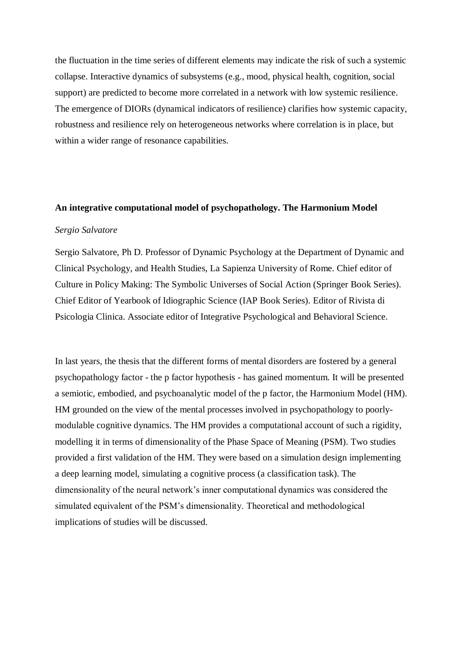the fluctuation in the time series of different elements may indicate the risk of such a systemic collapse. Interactive dynamics of subsystems (e.g., mood, physical health, cognition, social support) are predicted to become more correlated in a network with low systemic resilience. The emergence of DIORs (dynamical indicators of resilience) clarifies how systemic capacity, robustness and resilience rely on heterogeneous networks where correlation is in place, but within a wider range of resonance capabilities.

#### **An integrative computational model of psychopathology. The Harmonium Model**

### *Sergio Salvatore*

Sergio Salvatore, Ph D. Professor of Dynamic Psychology at the Department of Dynamic and Clinical Psychology, and Health Studies, La Sapienza University of Rome. Chief editor of Culture in Policy Making: The Symbolic Universes of Social Action (Springer Book Series). Chief Editor of Yearbook of Idiographic Science (IAP Book Series). Editor of Rivista di Psicologia Clinica. Associate editor of Integrative Psychological and Behavioral Science.

In last years, the thesis that the different forms of mental disorders are fostered by a general psychopathology factor - the p factor hypothesis - has gained momentum. It will be presented a semiotic, embodied, and psychoanalytic model of the p factor, the Harmonium Model (HM). HM grounded on the view of the mental processes involved in psychopathology to poorlymodulable cognitive dynamics. The HM provides a computational account of such a rigidity, modelling it in terms of dimensionality of the Phase Space of Meaning (PSM). Two studies provided a first validation of the HM. They were based on a simulation design implementing a deep learning model, simulating a cognitive process (a classification task). The dimensionality of the neural network's inner computational dynamics was considered the simulated equivalent of the PSM's dimensionality. Theoretical and methodological implications of studies will be discussed.